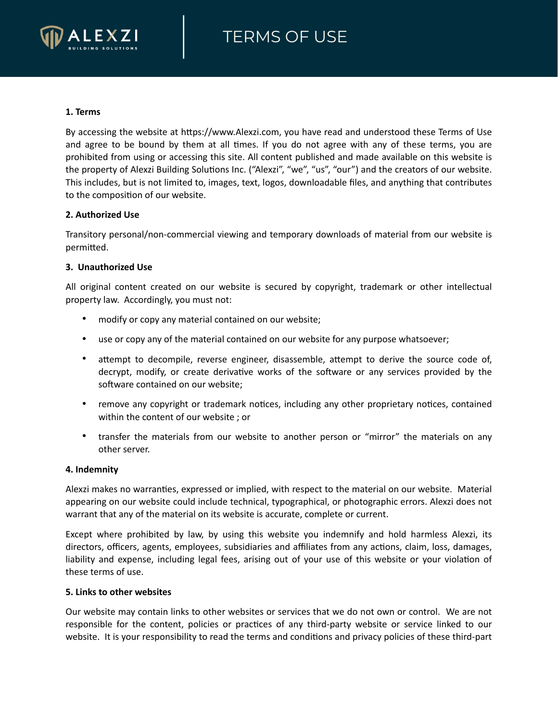# TERMS OF USE



#### **1. Terms**

By accessing the website at https://www.Alexzi.com, you have read and understood these Terms of Use and agree to be bound by them at all times. If you do not agree with any of these terms, you are prohibited from using or accessing this site. All content published and made available on this website is the property of Alexzi Building Solutions Inc. ("Alexzi", "we", "us", "our") and the creators of our website. This includes, but is not limited to, images, text, logos, downloadable files, and anything that contributes to the composition of our website.

#### **2. Authorized Use**

Transitory personal/non-commercial viewing and temporary downloads of material from our website is permitted.

### **3. Unauthorized Use**

All original content created on our website is secured by copyright, trademark or other intellectual property law. Accordingly, you must not:

- modify or copy any material contained on our website;
- use or copy any of the material contained on our website for any purpose whatsoever;
- attempt to decompile, reverse engineer, disassemble, attempt to derive the source code of, decrypt, modify, or create derivative works of the software or any services provided by the software contained on our website;
- remove any copyright or trademark notices, including any other proprietary notices, contained within the content of our website ; or
- transfer the materials from our website to another person or "mirror" the materials on any other server.

#### **4. Indemnity**

Alexzi makes no warranties, expressed or implied, with respect to the material on our website. Material appearing on our website could include technical, typographical, or photographic errors. Alexzi does not warrant that any of the material on its website is accurate, complete or current.

Except where prohibited by law, by using this website you indemnify and hold harmless Alexzi, its directors, officers, agents, employees, subsidiaries and affiliates from any actions, claim, loss, damages, liability and expense, including legal fees, arising out of your use of this website or your violation of these terms of use.

#### **5. Links to other websites**

Our website may contain links to other websites or services that we do not own or control. We are not responsible for the content, policies or practices of any third-party website or service linked to our website. It is your responsibility to read the terms and conditions and privacy policies of these third-part